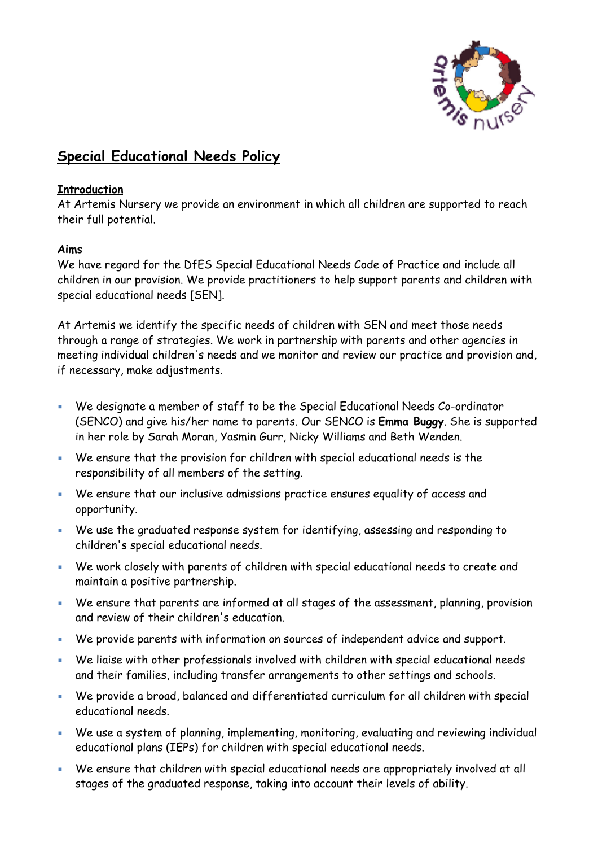

## **Special Educational Needs Policy**

## **Introduction**

At Artemis Nursery we provide an environment in which all children are supported to reach their full potential.

## **Aims**

We have regard for the DfES Special Educational Needs Code of Practice and include all children in our provision. We provide practitioners to help support parents and children with special educational needs [SEN].

At Artemis we identify the specific needs of children with SEN and meet those needs through a range of strategies. We work in partnership with parents and other agencies in meeting individual children's needs and we monitor and review our practice and provision and, if necessary, make adjustments.

- We designate a member of staff to be the Special Educational Needs Co-ordinator (SENCO) and give his/her name to parents. Our SENCO is **Emma Buggy**. She is supported in her role by Sarah Moran, Yasmin Gurr, Nicky Williams and Beth Wenden.
- We ensure that the provision for children with special educational needs is the responsibility of all members of the setting.
- We ensure that our inclusive admissions practice ensures equality of access and opportunity.
- We use the graduated response system for identifying, assessing and responding to children's special educational needs.
- We work closely with parents of children with special educational needs to create and maintain a positive partnership.
- **We ensure that parents are informed at all stages of the assessment, planning, provision** and review of their children's education.
- We provide parents with information on sources of independent advice and support.
- We liaise with other professionals involved with children with special educational needs and their families, including transfer arrangements to other settings and schools.
- We provide a broad, balanced and differentiated curriculum for all children with special educational needs.
- We use a system of planning, implementing, monitoring, evaluating and reviewing individual educational plans (IEPs) for children with special educational needs.
- We ensure that children with special educational needs are appropriately involved at all stages of the graduated response, taking into account their levels of ability.